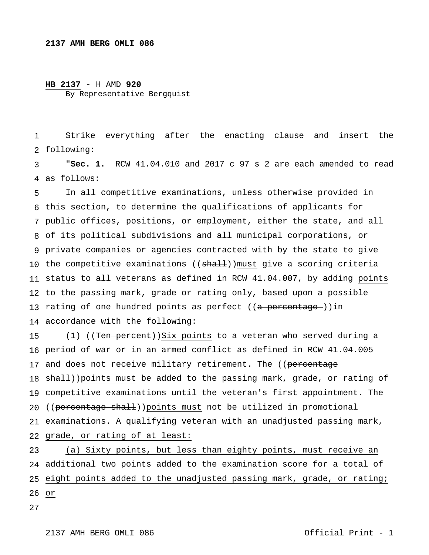## **HB 2137** - H AMD **920** By Representative Bergquist

 following: Strike everything after the enacting clause and insert the

 as follows: "**Sec. 1.** RCW 41.04.010 and 2017 c 97 s 2 are each amended to read

 this section, to determine the qualifications of applicants for public offices, positions, or employment, either the state, and all of its political subdivisions and all municipal corporations, or private companies or agencies contracted with by the state to give 10 the competitive examinations ((<del>shall</del>)) $_{\text{must}}$  give a scoring criteria status to all veterans as defined in RCW 41.04.007, by adding points to the passing mark, grade or rating only, based upon a possible 13 rating of one hundred points as perfect ((<del>a percentage )</del>)in accordance with the following: In all competitive examinations, unless otherwise provided in

 period of war or in an armed conflict as defined in RCW 41.04.005 17 and does not receive military retirement. The ((<del>percentage</del> 18 <del>shall</del>))points must be added to the passing mark, grade, or rating of competitive examinations until the veteran's first appointment. The 20 ((percentage shall))points must not be utilized in promotional examinations. A qualifying veteran with an unadjusted passing mark, grade, or rating of at least: (1) ((Ten percent))Six points to a veteran who served during a

 additional two points added to the examination score for a total of eight points added to the unadjusted passing mark, grade, or rating; or (a) Sixty points, but less than eighty points, must receive an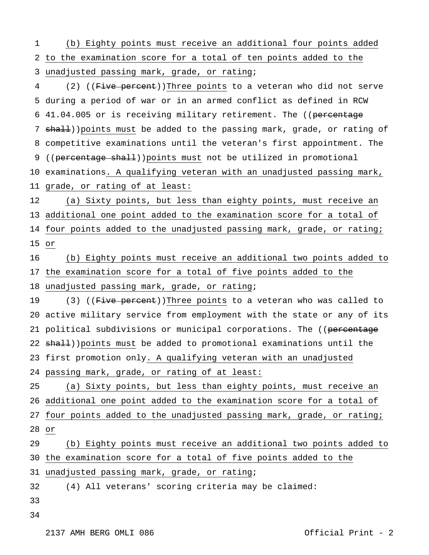to the examination score for a total of ten points added to the unadjusted passing mark, grade, or rating; (b) Eighty points must receive an additional four points added

 during a period of war or in an armed conflict as defined in RCW 6 41.04.005 or is receiving military retirement. The ((percentage 7 shall))points must be added to the passing mark, grade, or rating of competitive examinations until the veteran's first appointment. The 9 ((percentage shall))points must not be utilized in promotional examinations. A qualifying veteran with an unadjusted passing mark, grade, or rating of at least: (2) ( $(F\text{-}ive percent)$ )Three points to a veteran who did not serve

 additional one point added to the examination score for a total of four points added to the unadjusted passing mark, grade, or rating; or (a) Sixty points, but less than eighty points, must receive an

 the examination score for a total of five points added to the unadjusted passing mark, grade, or rating; (b) Eighty points must receive an additional two points added to

 active military service from employment with the state or any of its 21 political subdivisions or municipal corporations. The ((percentage 22 shall))points must be added to promotional examinations until the first promotion only. A qualifying veteran with an unadjusted passing mark, grade, or rating of at least: (3) ((Five percent))Three points to a veteran who was called to

 additional one point added to the examination score for a total of four points added to the unadjusted passing mark, grade, or rating; or (a) Sixty points, but less than eighty points, must receive an

 the examination score for a total of five points added to the (b) Eighty points must receive an additional two points added to

unadjusted passing mark, grade, or rating;

 (4) All veterans' scoring criteria may be claimed:

- 
-